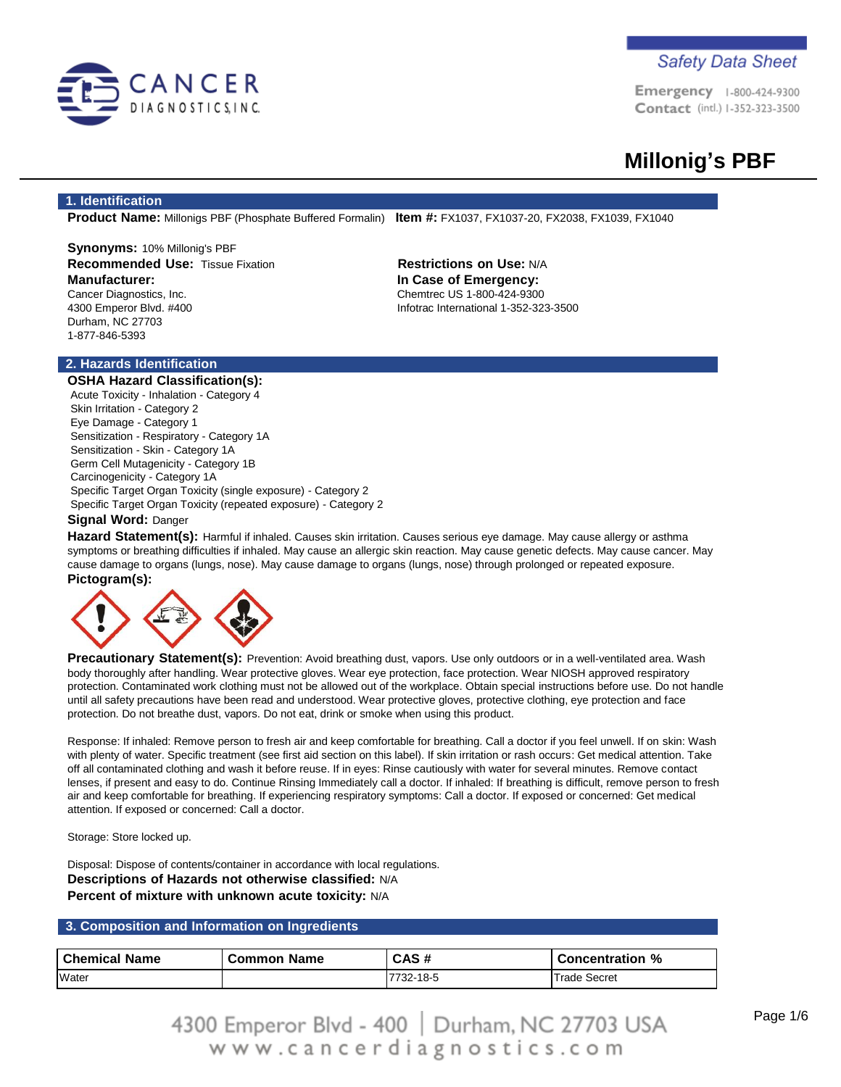

**Emergency** 1-800-424-9300 Contact (intl.) 1-352-323-3500

# **Millonig's PBF**

### **1. Identification**

**Product Name:** Millonigs PBF (Phosphate Buffered Formalin) **Item #:** FX1037, FX1037-20, FX2038, FX1039, FX1040

**Synonyms:** 10% Millonig's PBF **Recommended Use:** Tissue Fixation **Restrictions on Use:** N/A **Manufacturer:** Cancer Diagnostics, Inc.

4300 Emperor Blvd. #400 Durham, NC 27703 1-877-846-5393

**In Case of Emergency:** Chemtrec US 1-800-424-9300 Infotrac International 1-352-323-3500

# **2. Hazards Identification**

**OSHA Hazard Classification(s):** Acute Toxicity - Inhalation - Category 4 Skin Irritation - Category 2 Eye Damage - Category 1 Sensitization - Respiratory - Category 1A Sensitization - Skin - Category 1A Germ Cell Mutagenicity - Category 1B Carcinogenicity - Category 1A Specific Target Organ Toxicity (single exposure) - Category 2 Specific Target Organ Toxicity (repeated exposure) - Category 2 **Signal Word:** Danger

**Hazard Statement(s):** Harmful if inhaled. Causes skin irritation. Causes serious eye damage. May cause allergy or asthma symptoms or breathing difficulties if inhaled. May cause an allergic skin reaction. May cause genetic defects. May cause cancer. May cause damage to organs (lungs, nose). May cause damage to organs (lungs, nose) through prolonged or repeated exposure. **Pictogram(s):**



**Precautionary Statement(s):** Prevention: Avoid breathing dust, vapors. Use only outdoors or in a well-ventilated area. Wash body thoroughly after handling. Wear protective gloves. Wear eye protection, face protection. Wear NIOSH approved respiratory protection. Contaminated work clothing must not be allowed out of the workplace. Obtain special instructions before use. Do not handle until all safety precautions have been read and understood. Wear protective gloves, protective clothing, eye protection and face protection. Do not breathe dust, vapors. Do not eat, drink or smoke when using this product.

Response: If inhaled: Remove person to fresh air and keep comfortable for breathing. Call a doctor if you feel unwell. If on skin: Wash with plenty of water. Specific treatment (see first aid section on this label). If skin irritation or rash occurs: Get medical attention. Take off all contaminated clothing and wash it before reuse. If in eyes: Rinse cautiously with water for several minutes. Remove contact lenses, if present and easy to do. Continue Rinsing Immediately call a doctor. If inhaled: If breathing is difficult, remove person to fresh air and keep comfortable for breathing. If experiencing respiratory symptoms: Call a doctor. If exposed or concerned: Get medical attention. If exposed or concerned: Call a doctor.

Storage: Store locked up.

Disposal: Dispose of contents/container in accordance with local regulations. **Descriptions of Hazards not otherwise classified:** N/A **Percent of mixture with unknown acute toxicity:** N/A

## **3. Composition and Information on Ingredients**

| <b>Chemical Name</b> | <b>Common Name</b> | CAS#      | Concentration % |
|----------------------|--------------------|-----------|-----------------|
| Water                |                    | 7732-18-5 | Trade Secret    |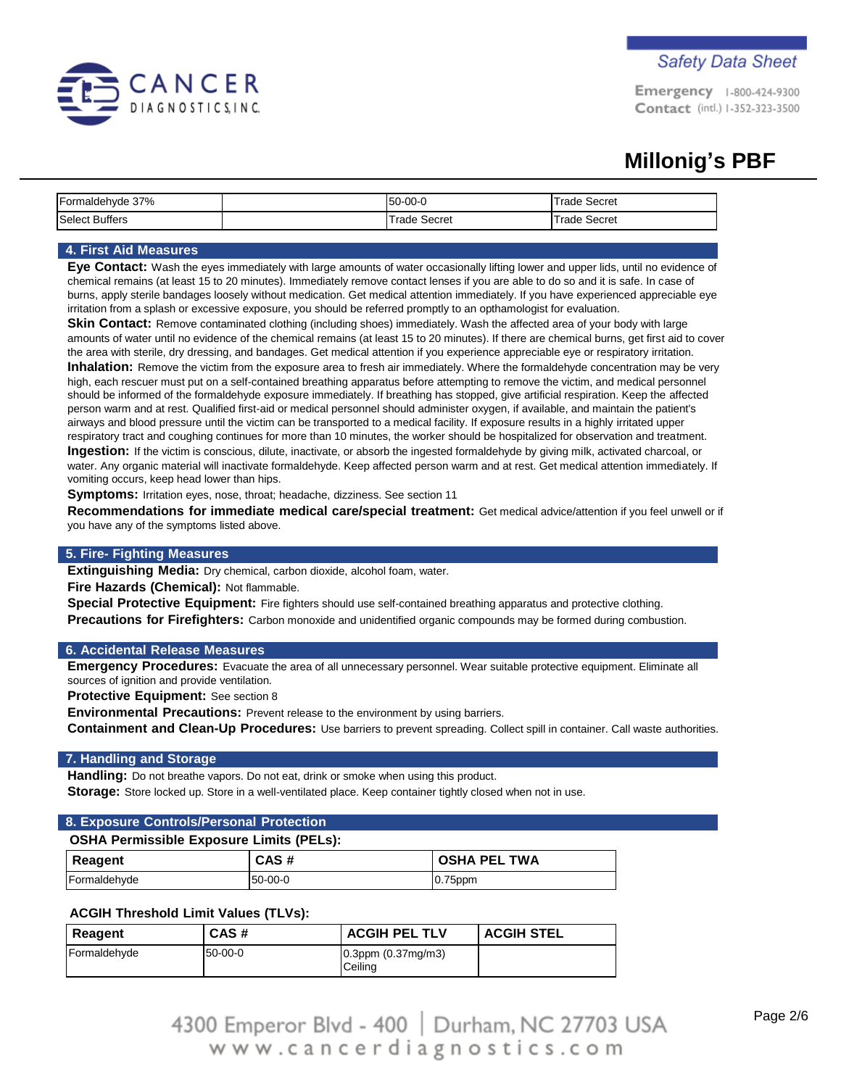

Emergency 1-800-424-9300 Contact (intl.) 1-352-323-3500

# **Millonig's PBF**

| Formaldehyde 37%      | 50-00-0      | Trade Secret        |
|-----------------------|--------------|---------------------|
| <b>Select Buffers</b> | Frade Secret | <b>Trade Secret</b> |

# **4. First Aid Measures**

**Eye Contact:** Wash the eyes immediately with large amounts of water occasionally lifting lower and upper lids, until no evidence of chemical remains (at least 15 to 20 minutes). Immediately remove contact lenses if you are able to do so and it is safe. In case of burns, apply sterile bandages loosely without medication. Get medical attention immediately. If you have experienced appreciable eye irritation from a splash or excessive exposure, you should be referred promptly to an opthamologist for evaluation.

**Skin Contact:** Remove contaminated clothing (including shoes) immediately. Wash the affected area of your body with large amounts of water until no evidence of the chemical remains (at least 15 to 20 minutes). If there are chemical burns, get first aid to cover the area with sterile, dry dressing, and bandages. Get medical attention if you experience appreciable eye or respiratory irritation. **Inhalation:** Remove the victim from the exposure area to fresh air immediately. Where the formaldehyde concentration may be very high, each rescuer must put on a self-contained breathing apparatus before attempting to remove the victim, and medical personnel should be informed of the formaldehyde exposure immediately. If breathing has stopped, give artificial respiration. Keep the affected

person warm and at rest. Qualified first-aid or medical personnel should administer oxygen, if available, and maintain the patient's airways and blood pressure until the victim can be transported to a medical facility. If exposure results in a highly irritated upper respiratory tract and coughing continues for more than 10 minutes, the worker should be hospitalized for observation and treatment. **Ingestion:** If the victim is conscious, dilute, inactivate, or absorb the ingested formaldehyde by giving milk, activated charcoal, or water. Any organic material will inactivate formaldehyde. Keep affected person warm and at rest. Get medical attention immediately. If vomiting occurs, keep head lower than hips.

**Symptoms:** Irritation eyes, nose, throat; headache, dizziness. See section 11

**Recommendations for immediate medical care/special treatment:** Get medical advice/attention if you feel unwell or if you have any of the symptoms listed above.

# **5. Fire- Fighting Measures**

**Extinguishing Media:** Dry chemical, carbon dioxide, alcohol foam, water.

**Fire Hazards (Chemical):** Not flammable.

**Special Protective Equipment:** Fire fighters should use self-contained breathing apparatus and protective clothing. **Precautions for Firefighters:** Carbon monoxide and unidentified organic compounds may be formed during combustion.

### **6. Accidental Release Measures**

**Emergency Procedures:** Evacuate the area of all unnecessary personnel. Wear suitable protective equipment. Eliminate all sources of ignition and provide ventilation.

**Protective Equipment:** See section 8

**Environmental Precautions:** Prevent release to the environment by using barriers.

**Containment and Clean-Up Procedures:** Use barriers to prevent spreading. Collect spill in container. Call waste authorities.

### **7. Handling and Storage**

**Handling:** Do not breathe vapors. Do not eat, drink or smoke when using this product. **Storage:** Store locked up. Store in a well-ventilated place. Keep container tightly closed when not in use.

# **8. Exposure Controls/Personal Protection**

### **OSHA Permissible Exposure Limits (PELs):**

| Reagent      | CAS#    | <b>OSHA PEL TWA</b> |
|--------------|---------|---------------------|
| Formaldehyde | 50-00-0 | $0.75$ ppm          |

# **ACGIH Threshold Limit Values (TLVs):**

| Reagent      | CAS#    | <b>ACGIH PEL TLV</b>                | <b>ACGIH STEL</b> |
|--------------|---------|-------------------------------------|-------------------|
| Formaldehyde | 50-00-0 | $0.3$ ppm $(0.37$ mg/m3)<br>Ceiling |                   |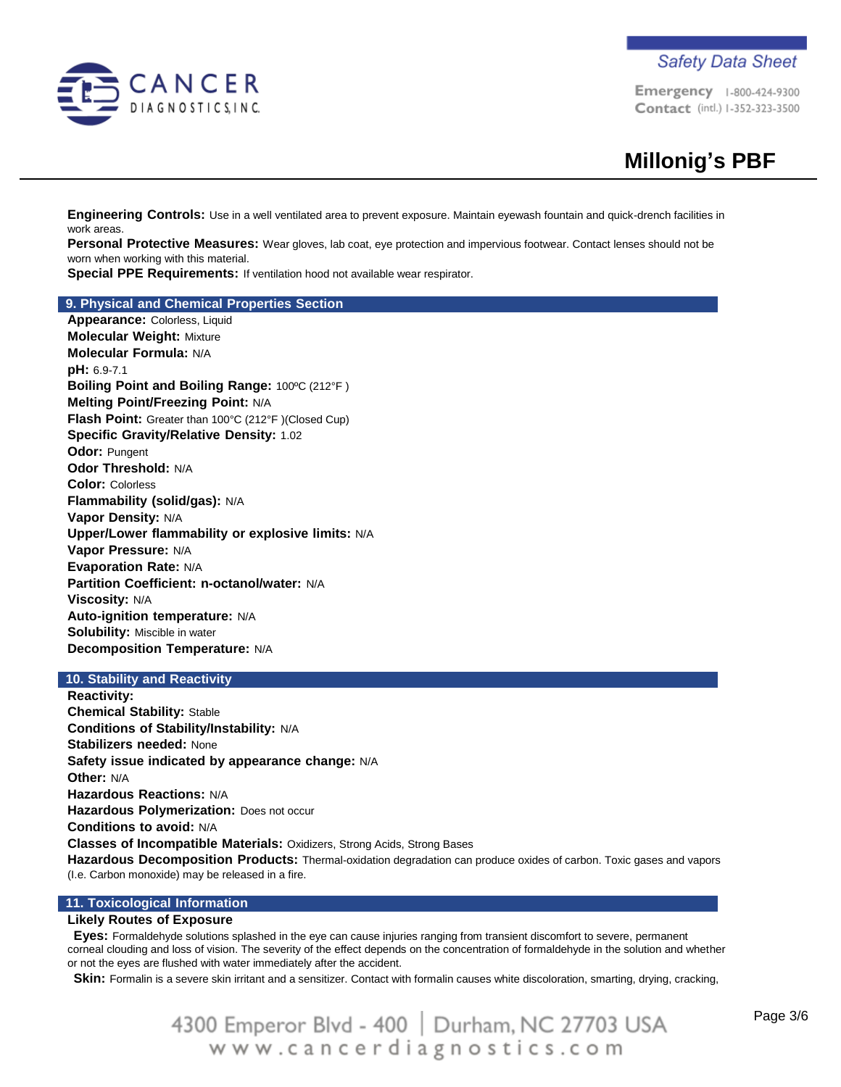

**Safety Data Sheet** 

Emergency 1-800-424-9300 Contact (intl.) 1-352-323-3500

**Engineering Controls:** Use in a well ventilated area to prevent exposure. Maintain eyewash fountain and quick-drench facilities in work areas.

**Personal Protective Measures:** Wear gloves, lab coat, eye protection and impervious footwear. Contact lenses should not be worn when working with this material.

**Special PPE Requirements:** If ventilation hood not available wear respirator.

#### **9. Physical and Chemical Properties Section**

**Appearance:** Colorless, Liquid **Molecular Weight:** Mixture **Molecular Formula:** N/A **pH:** 6.9-7.1 **Boiling Point and Boiling Range:** 100ºC (212°F ) **Melting Point/Freezing Point:** N/A **Flash Point:** Greater than 100°C (212°F )(Closed Cup) **Specific Gravity/Relative Density:** 1.02 **Odor:** Pungent **Odor Threshold:** N/A **Color:** Colorless **Flammability (solid/gas):** N/A **Vapor Density:** N/A **Upper/Lower flammability or explosive limits:** N/A **Vapor Pressure:** N/A **Evaporation Rate:** N/A **Partition Coefficient: n-octanol/water:** N/A **Viscosity:** N/A **Auto-ignition temperature:** N/A **Solubility:** Miscible in water **Decomposition Temperature:** N/A

# **10. Stability and Reactivity**

**Reactivity: Chemical Stability:** Stable **Conditions of Stability/Instability:** N/A **Stabilizers needed:** None **Safety issue indicated by appearance change:** N/A **Other:** N/A **Hazardous Reactions:** N/A **Hazardous Polymerization:** Does not occur **Conditions to avoid:** N/A **Classes of Incompatible Materials:** Oxidizers, Strong Acids, Strong Bases **Hazardous Decomposition Products:** Thermal-oxidation degradation can produce oxides of carbon. Toxic gases and vapors (I.e. Carbon monoxide) may be released in a fire.

### **11. Toxicological Information**

### **Likely Routes of Exposure**

**Eyes:** Formaldehyde solutions splashed in the eye can cause injuries ranging from transient discomfort to severe, permanent corneal clouding and loss of vision. The severity of the effect depends on the concentration of formaldehyde in the solution and whether or not the eyes are flushed with water immediately after the accident.

**Skin:** Formalin is a severe skin irritant and a sensitizer. Contact with formalin causes white discoloration, smarting, drying, cracking,

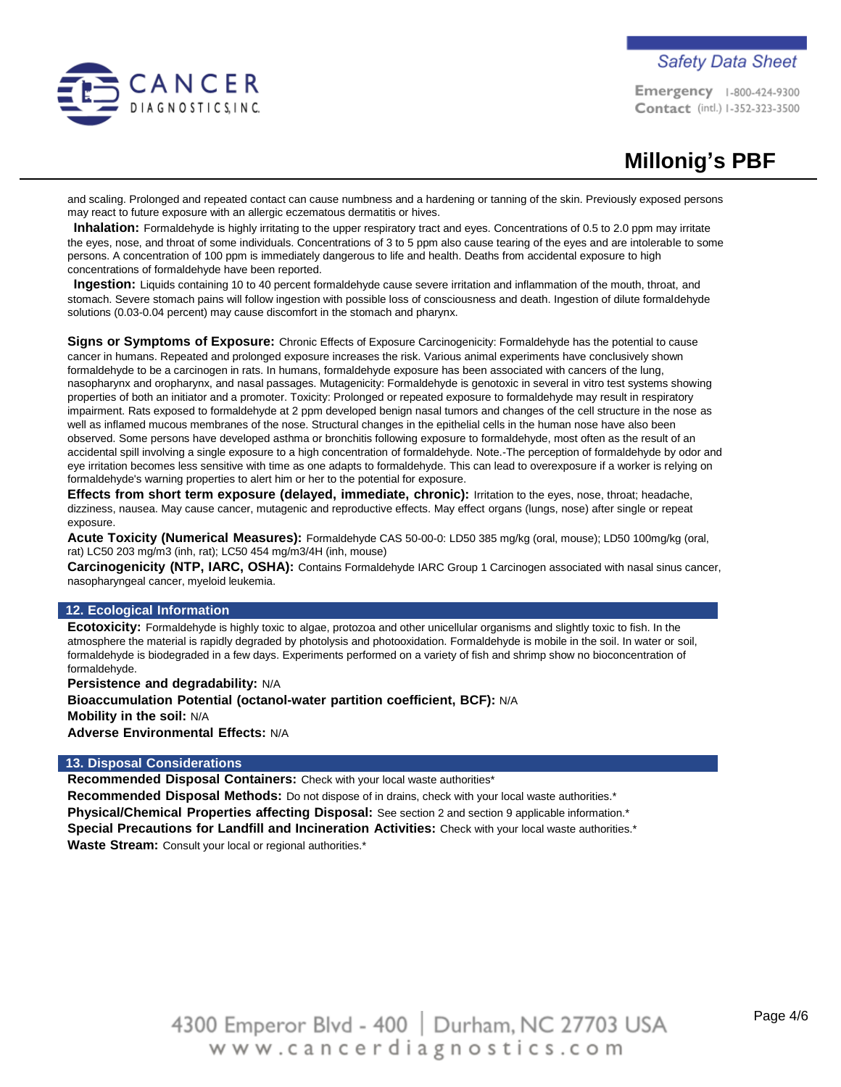

# **Safety Data Sheet**

Emergency 1-800-424-9300 Contact (intl.) 1-352-323-3500

# **Millonig's PBF**

and scaling. Prolonged and repeated contact can cause numbness and a hardening or tanning of the skin. Previously exposed persons may react to future exposure with an allergic eczematous dermatitis or hives.

**Inhalation:** Formaldehyde is highly irritating to the upper respiratory tract and eyes. Concentrations of 0.5 to 2.0 ppm may irritate the eyes, nose, and throat of some individuals. Concentrations of 3 to 5 ppm also cause tearing of the eyes and are intolerable to some persons. A concentration of 100 ppm is immediately dangerous to life and health. Deaths from accidental exposure to high concentrations of formaldehyde have been reported.

**Ingestion:** Liquids containing 10 to 40 percent formaldehyde cause severe irritation and inflammation of the mouth, throat, and stomach. Severe stomach pains will follow ingestion with possible loss of consciousness and death. Ingestion of dilute formaldehyde solutions (0.03-0.04 percent) may cause discomfort in the stomach and pharynx.

**Signs or Symptoms of Exposure:** Chronic Effects of Exposure Carcinogenicity: Formaldehyde has the potential to cause cancer in humans. Repeated and prolonged exposure increases the risk. Various animal experiments have conclusively shown formaldehyde to be a carcinogen in rats. In humans, formaldehyde exposure has been associated with cancers of the lung, nasopharynx and oropharynx, and nasal passages. Mutagenicity: Formaldehyde is genotoxic in several in vitro test systems showing properties of both an initiator and a promoter. Toxicity: Prolonged or repeated exposure to formaldehyde may result in respiratory impairment. Rats exposed to formaldehyde at 2 ppm developed benign nasal tumors and changes of the cell structure in the nose as well as inflamed mucous membranes of the nose. Structural changes in the epithelial cells in the human nose have also been observed. Some persons have developed asthma or bronchitis following exposure to formaldehyde, most often as the result of an accidental spill involving a single exposure to a high concentration of formaldehyde. Note.-The perception of formaldehyde by odor and eye irritation becomes less sensitive with time as one adapts to formaldehyde. This can lead to overexposure if a worker is relying on formaldehyde's warning properties to alert him or her to the potential for exposure.

**Effects from short term exposure (delayed, immediate, chronic):** Irritation to the eyes, nose, throat; headache, dizziness, nausea. May cause cancer, mutagenic and reproductive effects. May effect organs (lungs, nose) after single or repeat exposure.

**Acute Toxicity (Numerical Measures):** Formaldehyde CAS 50-00-0: LD50 385 mg/kg (oral, mouse); LD50 100mg/kg (oral, rat) LC50 203 mg/m3 (inh, rat); LC50 454 mg/m3/4H (inh, mouse)

**Carcinogenicity (NTP, IARC, OSHA):** Contains Formaldehyde IARC Group 1 Carcinogen associated with nasal sinus cancer, nasopharyngeal cancer, myeloid leukemia.

# **12. Ecological Information**

**Ecotoxicity:** Formaldehyde is highly toxic to algae, protozoa and other unicellular organisms and slightly toxic to fish. In the atmosphere the material is rapidly degraded by photolysis and photooxidation. Formaldehyde is mobile in the soil. In water or soil, formaldehyde is biodegraded in a few days. Experiments performed on a variety of fish and shrimp show no bioconcentration of formaldehyde.

**Persistence and degradability:** N/A **Bioaccumulation Potential (octanol-water partition coefficient, BCF):** N/A **Mobility in the soil:** N/A **Adverse Environmental Effects:** N/A

### **13. Disposal Considerations**

**Recommended Disposal Containers:** Check with your local waste authorities\*

**Recommended Disposal Methods:** Do not dispose of in drains, check with your local waste authorities.\* **Physical/Chemical Properties affecting Disposal:** See section 2 and section 9 applicable information.\* **Special Precautions for Landfill and Incineration Activities:** Check with your local waste authorities.\* **Waste Stream:** Consult your local or regional authorities.\*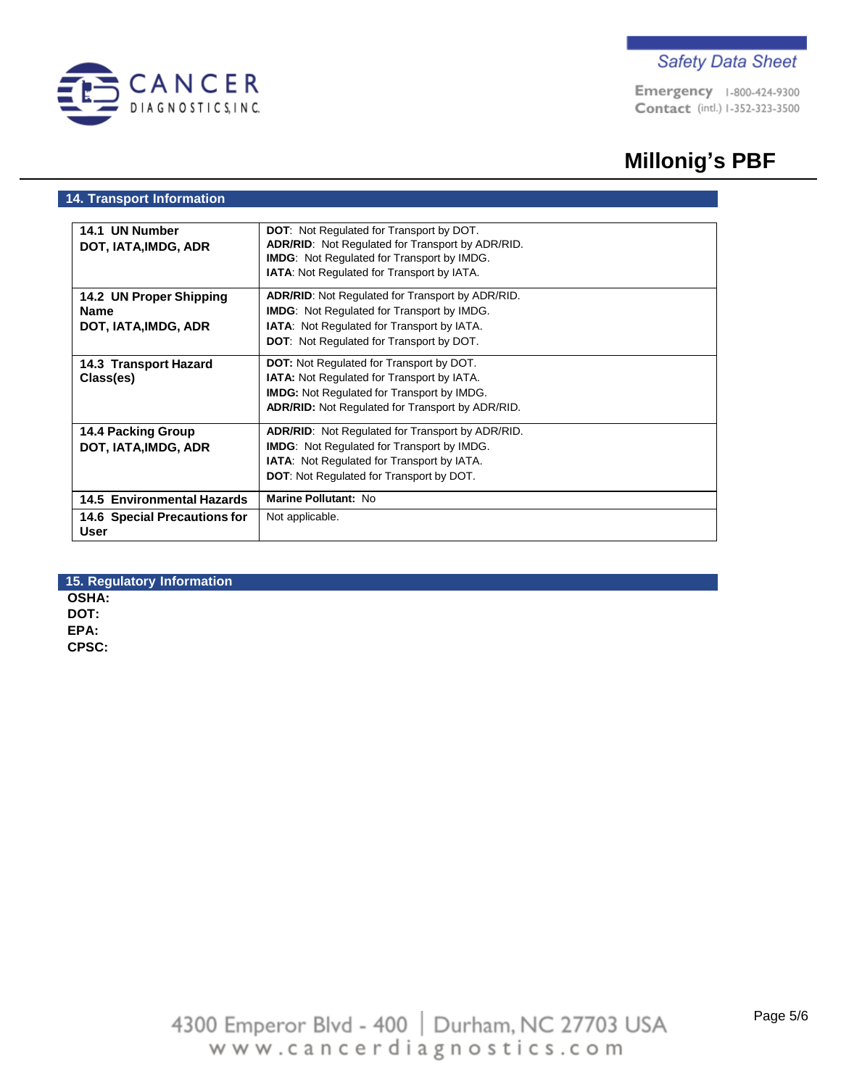

Emergency 1-800-424-9300 Contact (intl.) 1-352-323-3500

# **Millonig's PBF**

# **14. Transport Information**

| 14.1 UN Number                       | <b>DOT:</b> Not Regulated for Transport by DOT.         |  |
|--------------------------------------|---------------------------------------------------------|--|
| DOT, IATA, IMDG, ADR                 | <b>ADR/RID:</b> Not Regulated for Transport by ADR/RID. |  |
|                                      | <b>IMDG:</b> Not Regulated for Transport by IMDG.       |  |
|                                      | <b>IATA:</b> Not Regulated for Transport by IATA.       |  |
| 14.2 UN Proper Shipping              | <b>ADR/RID:</b> Not Regulated for Transport by ADR/RID. |  |
| <b>Name</b>                          | <b>IMDG:</b> Not Regulated for Transport by IMDG.       |  |
| DOT, IATA, IMDG, ADR                 | <b>IATA:</b> Not Regulated for Transport by IATA.       |  |
|                                      | <b>DOT:</b> Not Regulated for Transport by DOT.         |  |
| 14.3 Transport Hazard                | <b>DOT:</b> Not Regulated for Transport by DOT.         |  |
| Class(es)                            | IATA: Not Regulated for Transport by IATA.              |  |
|                                      | <b>IMDG:</b> Not Regulated for Transport by IMDG.       |  |
|                                      | <b>ADR/RID:</b> Not Regulated for Transport by ADR/RID. |  |
| <b>14.4 Packing Group</b>            | <b>ADR/RID:</b> Not Regulated for Transport by ADR/RID. |  |
| DOT, IATA, IMDG, ADR                 | <b>IMDG:</b> Not Regulated for Transport by IMDG.       |  |
|                                      | <b>IATA:</b> Not Regulated for Transport by IATA.       |  |
|                                      | <b>DOT:</b> Not Regulated for Transport by DOT.         |  |
| <b>14.5 Environmental Hazards</b>    | Marine Pollutant: No                                    |  |
| 14.6 Special Precautions for<br>User | Not applicable.                                         |  |

# **15. Regulatory Information OSHA: DOT: EPA: CPSC:**